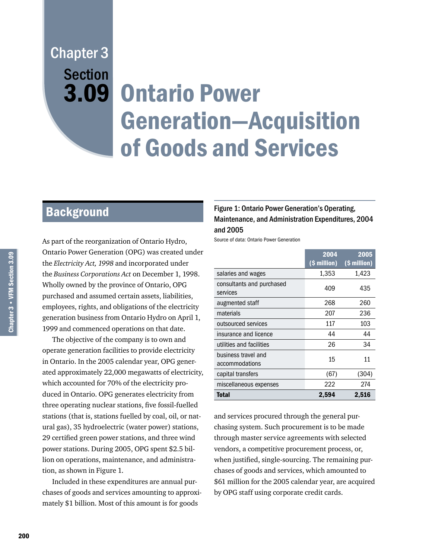# Chapter 3 **Section**

## 3.09 Ontario Power Generation—Acquisition of Goods and Services

## **Background**

As part of the reorganization of Ontario Hydro, Ontario Power Generation (OPG) was created under the *Electricity Act, 1998* and incorporated under the *Business Corporations Act* on December 1, 1998. Wholly owned by the province of Ontario, OPG purchased and assumed certain assets, liabilities, employees, rights, and obligations of the electricity generation business from Ontario Hydro on April 1, 1999 and commenced operations on that date.

The objective of the company is to own and operate generation facilities to provide electricity in Ontario. In the 2005 calendar year, OPG generated approximately 22,000 megawatts of electricity, which accounted for 70% of the electricity produced in Ontario. OPG generates electricity from three operating nuclear stations, five fossil-fuelled stations (that is, stations fuelled by coal, oil, or natural gas), 35 hydroelectric (water power) stations, 29 certified green power stations, and three wind power stations. During 2005, OPG spent \$2.5 billion on operations, maintenance, and administration, as shown in Figure 1.

Included in these expenditures are annual purchases of goods and services amounting to approximately \$1 billion. Most of this amount is for goods

#### Figure 1: Ontario Power Generation's Operating, Maintenance, and Administration Expenditures, 2004 and 2005

Source of data: Ontario Power Generation

|                                       | 2004<br>(\$ million) | 2005<br>(\$ million) |
|---------------------------------------|----------------------|----------------------|
| salaries and wages                    | 1,353                | 1,423                |
| consultants and purchased<br>services | 409                  | 435                  |
| augmented staff                       | 268                  | 260                  |
| materials                             | 207                  | 236                  |
| outsourced services                   | 117                  | 103                  |
| insurance and licence                 | 44                   | 44                   |
| utilities and facilities              | 26                   | 34                   |
| business travel and<br>accommodations | 15                   | 11                   |
| capital transfers                     | (67)                 | (304)                |
| miscellaneous expenses                | 222                  | 274                  |
| Total                                 | 2,594                | 2,516                |

and services procured through the general purchasing system. Such procurement is to be made through master service agreements with selected vendors, a competitive procurement process, or, when justified, single-sourcing. The remaining purchases of goods and services, which amounted to \$61 million for the 2005 calendar year, are acquired by OPG staff using corporate credit cards.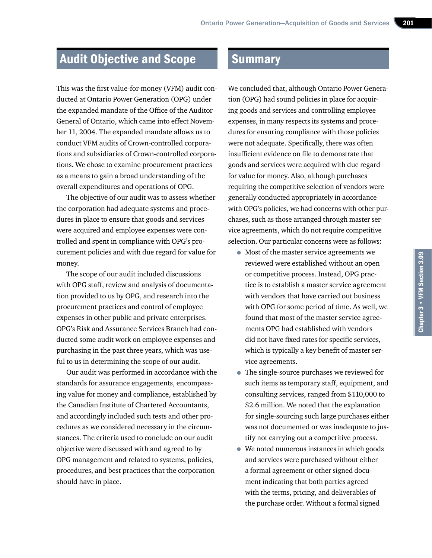## Audit Objective and Scope

This was the first value-for-money (VFM) audit conducted at Ontario Power Generation (OPG) under the expanded mandate of the Office of the Auditor General of Ontario, which came into effect November 11, 2004. The expanded mandate allows us to conduct VFM audits of Crown-controlled corporations and subsidiaries of Crown-controlled corporations. We chose to examine procurement practices as a means to gain a broad understanding of the overall expenditures and operations of OPG.

The objective of our audit was to assess whether the corporation had adequate systems and procedures in place to ensure that goods and services were acquired and employee expenses were controlled and spent in compliance with OPG's procurement policies and with due regard for value for money.

The scope of our audit included discussions with OPG staff, review and analysis of documentation provided to us by OPG, and research into the procurement practices and control of employee expenses in other public and private enterprises. OPG's Risk and Assurance Services Branch had conducted some audit work on employee expenses and purchasing in the past three years, which was useful to us in determining the scope of our audit.

Our audit was performed in accordance with the standards for assurance engagements, encompassing value for money and compliance, established by the Canadian Institute of Chartered Accountants, and accordingly included such tests and other procedures as we considered necessary in the circumstances. The criteria used to conclude on our audit objective were discussed with and agreed to by OPG management and related to systems, policies, procedures, and best practices that the corporation should have in place.

### **Summary**

We concluded that, although Ontario Power Generation (OPG) had sound policies in place for acquiring goods and services and controlling employee expenses, in many respects its systems and procedures for ensuring compliance with those policies were not adequate. Specifically, there was often insufficient evidence on file to demonstrate that goods and services were acquired with due regard for value for money. Also, although purchases requiring the competitive selection of vendors were generally conducted appropriately in accordance with OPG's policies, we had concerns with other purchases, such as those arranged through master service agreements, which do not require competitive selection. Our particular concerns were as follows:

- Most of the master service agreements we reviewed were established without an open or competitive process. Instead, OPG practice is to establish a master service agreement with vendors that have carried out business with OPG for some period of time. As well, we found that most of the master service agreements OPG had established with vendors did not have fixed rates for specific services, which is typically a key benefit of master service agreements.
- The single-source purchases we reviewed for such items as temporary staff, equipment, and consulting services, ranged from \$110,000 to \$2.6 million. We noted that the explanation for single-sourcing such large purchases either was not documented or was inadequate to justify not carrying out a competitive process.
- We noted numerous instances in which goods and services were purchased without either a formal agreement or other signed document indicating that both parties agreed with the terms, pricing, and deliverables of the purchase order. Without a formal signed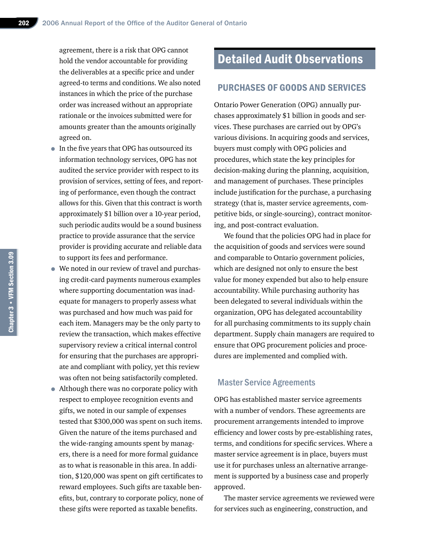agreement, there is a risk that OPG cannot hold the vendor accountable for providing the deliverables at a specific price and under agreed-to terms and conditions. We also noted instances in which the price of the purchase order was increased without an appropriate rationale or the invoices submitted were for amounts greater than the amounts originally agreed on.

- In the five years that OPG has outsourced its information technology services, OPG has not audited the service provider with respect to its provision of services, setting of fees, and reporting of performance, even though the contract allows for this. Given that this contract is worth approximately \$1 billion over a 10-year period, such periodic audits would be a sound business practice to provide assurance that the service provider is providing accurate and reliable data to support its fees and performance.
- We noted in our review of travel and purchasing credit-card payments numerous examples where supporting documentation was inadequate for managers to properly assess what was purchased and how much was paid for each item. Managers may be the only party to review the transaction, which makes effective supervisory review a critical internal control for ensuring that the purchases are appropriate and compliant with policy, yet this review was often not being satisfactorily completed.
- Although there was no corporate policy with respect to employee recognition events and gifts, we noted in our sample of expenses tested that \$300,000 was spent on such items. Given the nature of the items purchased and the wide-ranging amounts spent by managers, there is a need for more formal guidance as to what is reasonable in this area. In addition, \$120,000 was spent on gift certificates to reward employees. Such gifts are taxable benefits, but, contrary to corporate policy, none of these gifts were reported as taxable benefits.

## Detailed Audit Observations

#### PURCHASES OF GOODS AND SERVICES

Ontario Power Generation (OPG) annually purchases approximately \$1 billion in goods and services. These purchases are carried out by OPG's various divisions. In acquiring goods and services, buyers must comply with OPG policies and procedures, which state the key principles for decision-making during the planning, acquisition, and management of purchases. These principles include justification for the purchase, a purchasing strategy (that is, master service agreements, competitive bids, or single-sourcing), contract monitoring, and post-contract evaluation.

We found that the policies OPG had in place for the acquisition of goods and services were sound and comparable to Ontario government policies, which are designed not only to ensure the best value for money expended but also to help ensure accountability. While purchasing authority has been delegated to several individuals within the organization, OPG has delegated accountability for all purchasing commitments to its supply chain department. Supply chain managers are required to ensure that OPG procurement policies and procedures are implemented and complied with.

#### Master Service Agreements

OPG has established master service agreements with a number of vendors. These agreements are procurement arrangements intended to improve efficiency and lower costs by pre-establishing rates, terms, and conditions for specific services. Where a master service agreement is in place, buyers must use it for purchases unless an alternative arrangement is supported by a business case and properly approved.

The master service agreements we reviewed were for services such as engineering, construction, and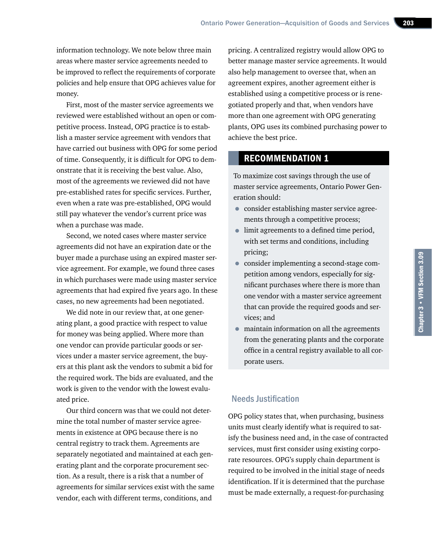information technology. We note below three main areas where master service agreements needed to be improved to reflect the requirements of corporate policies and help ensure that OPG achieves value for money.

First, most of the master service agreements we reviewed were established without an open or competitive process. Instead, OPG practice is to establish a master service agreement with vendors that have carried out business with OPG for some period of time. Consequently, it is difficult for OPG to demonstrate that it is receiving the best value. Also, most of the agreements we reviewed did not have pre-established rates for specific services. Further, even when a rate was pre-established, OPG would still pay whatever the vendor's current price was when a purchase was made.

Second, we noted cases where master service agreements did not have an expiration date or the buyer made a purchase using an expired master service agreement. For example, we found three cases in which purchases were made using master service agreements that had expired five years ago. In these cases, no new agreements had been negotiated.

We did note in our review that, at one generating plant, a good practice with respect to value for money was being applied. Where more than one vendor can provide particular goods or services under a master service agreement, the buyers at this plant ask the vendors to submit a bid for the required work. The bids are evaluated, and the work is given to the vendor with the lowest evaluated price.

Our third concern was that we could not determine the total number of master service agreements in existence at OPG because there is no central registry to track them. Agreements are separately negotiated and maintained at each generating plant and the corporate procurement section. As a result, there is a risk that a number of agreements for similar services exist with the same vendor, each with different terms, conditions, and

pricing. A centralized registry would allow OPG to better manage master service agreements. It would also help management to oversee that, when an agreement expires, another agreement either is established using a competitive process or is renegotiated properly and that, when vendors have more than one agreement with OPG generating plants, OPG uses its combined purchasing power to achieve the best price.

#### RECOMMENDATION 1

To maximize cost savings through the use of master service agreements, Ontario Power Generation should:

- consider establishing master service agreements through a competitive process;
- limit agreements to a defined time period, with set terms and conditions, including pricing;
- consider implementing a second-stage competition among vendors, especially for significant purchases where there is more than one vendor with a master service agreement that can provide the required goods and services; and
- maintain information on all the agreements from the generating plants and the corporate office in a central registry available to all corporate users.

#### Needs Justification

OPG policy states that, when purchasing, business units must clearly identify what is required to satisfy the business need and, in the case of contracted services, must first consider using existing corporate resources. OPG's supply chain department is required to be involved in the initial stage of needs identification. If it is determined that the purchase must be made externally, a request-for-purchasing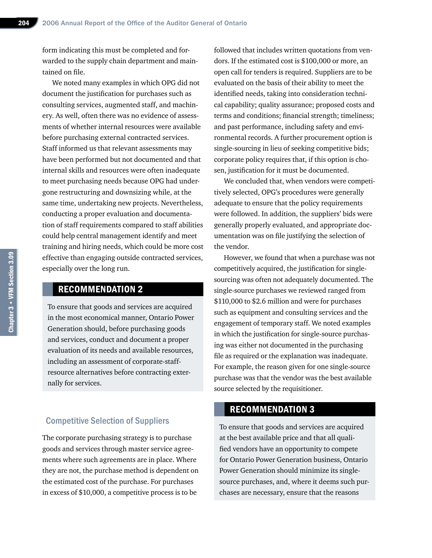form indicating this must be completed and forwarded to the supply chain department and maintained on file.

We noted many examples in which OPG did not document the justification for purchases such as consulting services, augmented staff, and machinery. As well, often there was no evidence of assessments of whether internal resources were available before purchasing external contracted services. Staff informed us that relevant assessments may have been performed but not documented and that internal skills and resources were often inadequate to meet purchasing needs because OPG had undergone restructuring and downsizing while, at the same time, undertaking new projects. Nevertheless, conducting a proper evaluation and documentation of staff requirements compared to staff abilities could help central management identify and meet training and hiring needs, which could be more cost effective than engaging outside contracted services, especially over the long run.

#### RECOMMENDATION 2

To ensure that goods and services are acquired in the most economical manner, Ontario Power Generation should, before purchasing goods and services, conduct and document a proper evaluation of its needs and available resources, including an assessment of corporate-staffresource alternatives before contracting externally for services.

#### Competitive Selection of Suppliers

The corporate purchasing strategy is to purchase goods and services through master service agreements where such agreements are in place. Where they are not, the purchase method is dependent on the estimated cost of the purchase. For purchases in excess of \$10,000, a competitive process is to be

followed that includes written quotations from vendors. If the estimated cost is \$100,000 or more, an open call for tenders is required. Suppliers are to be evaluated on the basis of their ability to meet the identified needs, taking into consideration technical capability; quality assurance; proposed costs and terms and conditions; financial strength; timeliness; and past performance, including safety and environmental records. A further procurement option is single-sourcing in lieu of seeking competitive bids; corporate policy requires that, if this option is chosen, justification for it must be documented.

We concluded that, when vendors were competitively selected, OPG's procedures were generally adequate to ensure that the policy requirements were followed. In addition, the suppliers' bids were generally properly evaluated, and appropriate documentation was on file justifying the selection of the vendor.

However, we found that when a purchase was not competitively acquired, the justification for singlesourcing was often not adequately documented. The single-source purchases we reviewed ranged from \$110,000 to \$2.6 million and were for purchases such as equipment and consulting services and the engagement of temporary staff. We noted examples in which the justification for single-source purchasing was either not documented in the purchasing file as required or the explanation was inadequate. For example, the reason given for one single-source purchase was that the vendor was the best available source selected by the requisitioner.

#### RECOMMENDATION 3

To ensure that goods and services are acquired at the best available price and that all qualified vendors have an opportunity to compete for Ontario Power Generation business, Ontario Power Generation should minimize its singlesource purchases, and, where it deems such purchases are necessary, ensure that the reasons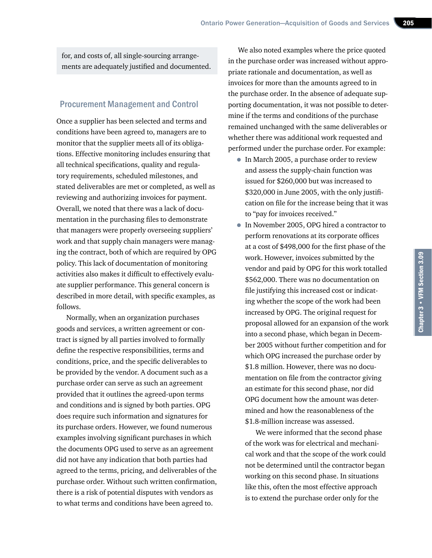for, and costs of, all single-sourcing arrangements are adequately justified and documented.

#### Procurement Management and Control

Once a supplier has been selected and terms and conditions have been agreed to, managers are to monitor that the supplier meets all of its obligations. Effective monitoring includes ensuring that all technical specifications, quality and regulatory requirements, scheduled milestones, and stated deliverables are met or completed, as well as reviewing and authorizing invoices for payment. Overall, we noted that there was a lack of documentation in the purchasing files to demonstrate that managers were properly overseeing suppliers' work and that supply chain managers were managing the contract, both of which are required by OPG policy. This lack of documentation of monitoring activities also makes it difficult to effectively evaluate supplier performance. This general concern is described in more detail, with specific examples, as follows.

Normally, when an organization purchases goods and services, a written agreement or contract is signed by all parties involved to formally define the respective responsibilities, terms and conditions, price, and the specific deliverables to be provided by the vendor. A document such as a purchase order can serve as such an agreement provided that it outlines the agreed-upon terms and conditions and is signed by both parties. OPG does require such information and signatures for its purchase orders. However, we found numerous examples involving significant purchases in which the documents OPG used to serve as an agreement did not have any indication that both parties had agreed to the terms, pricing, and deliverables of the purchase order. Without such written confirmation, there is a risk of potential disputes with vendors as to what terms and conditions have been agreed to.

We also noted examples where the price quoted in the purchase order was increased without appropriate rationale and documentation, as well as invoices for more than the amounts agreed to in the purchase order. In the absence of adequate supporting documentation, it was not possible to determine if the terms and conditions of the purchase remained unchanged with the same deliverables or whether there was additional work requested and performed under the purchase order. For example:

- In March 2005, a purchase order to review and assess the supply-chain function was issued for \$260,000 but was increased to \$320,000 in June 2005, with the only justification on file for the increase being that it was to "pay for invoices received."
- In November 2005, OPG hired a contractor to perform renovations at its corporate offices at a cost of \$498,000 for the first phase of the work. However, invoices submitted by the vendor and paid by OPG for this work totalled \$562,000. There was no documentation on file justifying this increased cost or indicating whether the scope of the work had been increased by OPG. The original request for proposal allowed for an expansion of the work into a second phase, which began in December 2005 without further competition and for which OPG increased the purchase order by \$1.8 million. However, there was no documentation on file from the contractor giving an estimate for this second phase, nor did OPG document how the amount was determined and how the reasonableness of the \$1.8-million increase was assessed.

We were informed that the second phase of the work was for electrical and mechanical work and that the scope of the work could not be determined until the contractor began working on this second phase. In situations like this, often the most effective approach is to extend the purchase order only for the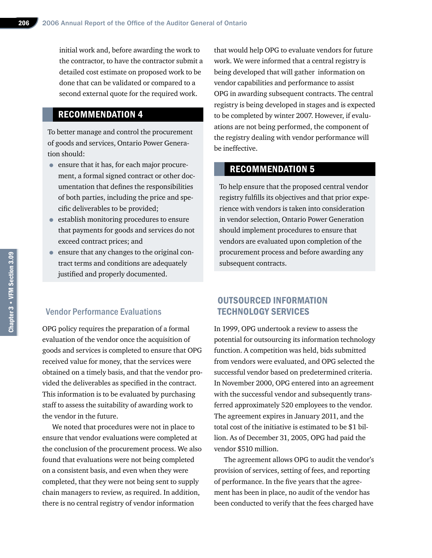initial work and, before awarding the work to the contractor, to have the contractor submit a detailed cost estimate on proposed work to be done that can be validated or compared to a second external quote for the required work.

#### RECOMMENDATION 4

To better manage and control the procurement of goods and services, Ontario Power Generation should:

- ensure that it has, for each major procurement, a formal signed contract or other documentation that defines the responsibilities of both parties, including the price and specific deliverables to be provided;
- establish monitoring procedures to ensure that payments for goods and services do not exceed contract prices; and
- ensure that any changes to the original contract terms and conditions are adequately justified and properly documented.

#### Vendor Performance Evaluations

OPG policy requires the preparation of a formal evaluation of the vendor once the acquisition of goods and services is completed to ensure that OPG received value for money, that the services were obtained on a timely basis, and that the vendor provided the deliverables as specified in the contract. This information is to be evaluated by purchasing staff to assess the suitability of awarding work to the vendor in the future.

We noted that procedures were not in place to ensure that vendor evaluations were completed at the conclusion of the procurement process. We also found that evaluations were not being completed on a consistent basis, and even when they were completed, that they were not being sent to supply chain managers to review, as required. In addition, there is no central registry of vendor information

that would help OPG to evaluate vendors for future work. We were informed that a central registry is being developed that will gather information on vendor capabilities and performance to assist OPG in awarding subsequent contracts. The central registry is being developed in stages and is expected to be completed by winter 2007. However, if evaluations are not being performed, the component of the registry dealing with vendor performance will be ineffective.

#### RECOMMENDATION 5

To help ensure that the proposed central vendor registry fulfills its objectives and that prior experience with vendors is taken into consideration in vendor selection, Ontario Power Generation should implement procedures to ensure that vendors are evaluated upon completion of the procurement process and before awarding any subsequent contracts.

#### OUTSOURCED INFORMATION TECHNOLOGY SERVICES

In 1999, OPG undertook a review to assess the potential for outsourcing its information technology function. A competition was held, bids submitted from vendors were evaluated, and OPG selected the successful vendor based on predetermined criteria. In November 2000, OPG entered into an agreement with the successful vendor and subsequently transferred approximately 520 employees to the vendor. The agreement expires in January 2011, and the total cost of the initiative is estimated to be \$1 billion. As of December 31, 2005, OPG had paid the vendor \$510 million.

The agreement allows OPG to audit the vendor's provision of services, setting of fees, and reporting of performance. In the five years that the agreement has been in place, no audit of the vendor has been conducted to verify that the fees charged have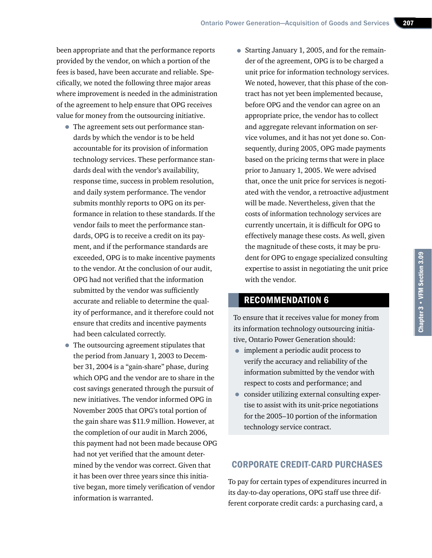been appropriate and that the performance reports provided by the vendor, on which a portion of the fees is based, have been accurate and reliable. Specifically, we noted the following three major areas where improvement is needed in the administration of the agreement to help ensure that OPG receives value for money from the outsourcing initiative.

- The agreement sets out performance standards by which the vendor is to be held accountable for its provision of information technology services. These performance standards deal with the vendor's availability, response time, success in problem resolution, and daily system performance. The vendor submits monthly reports to OPG on its performance in relation to these standards. If the vendor fails to meet the performance standards, OPG is to receive a credit on its payment, and if the performance standards are exceeded, OPG is to make incentive payments to the vendor. At the conclusion of our audit, OPG had not verified that the information submitted by the vendor was sufficiently accurate and reliable to determine the quality of performance, and it therefore could not ensure that credits and incentive payments had been calculated correctly.
- The outsourcing agreement stipulates that the period from January 1, 2003 to December 31, 2004 is a "gain-share" phase, during which OPG and the vendor are to share in the cost savings generated through the pursuit of new initiatives. The vendor informed OPG in November 2005 that OPG's total portion of the gain share was \$11.9 million. However, at the completion of our audit in March 2006, this payment had not been made because OPG had not yet verified that the amount determined by the vendor was correct. Given that it has been over three years since this initiative began, more timely verification of vendor information is warranted.

• Starting January 1, 2005, and for the remainder of the agreement, OPG is to be charged a unit price for information technology services. We noted, however, that this phase of the contract has not yet been implemented because, before OPG and the vendor can agree on an appropriate price, the vendor has to collect and aggregate relevant information on service volumes, and it has not yet done so. Consequently, during 2005, OPG made payments based on the pricing terms that were in place prior to January 1, 2005. We were advised that, once the unit price for services is negotiated with the vendor, a retroactive adjustment will be made. Nevertheless, given that the costs of information technology services are currently uncertain, it is difficult for OPG to effectively manage these costs. As well, given the magnitude of these costs, it may be prudent for OPG to engage specialized consulting expertise to assist in negotiating the unit price with the vendor.

#### RECOMMENDATION 6

To ensure that it receives value for money from its information technology outsourcing initiative, Ontario Power Generation should:

- implement a periodic audit process to verify the accuracy and reliability of the information submitted by the vendor with respect to costs and performance; and
- consider utilizing external consulting expertise to assist with its unit-price negotiations for the 2005–10 portion of the information technology service contract.

#### CORPORATE CREDIT-CARD PURCHASES

To pay for certain types of expenditures incurred in its day-to-day operations, OPG staff use three different corporate credit cards: a purchasing card, a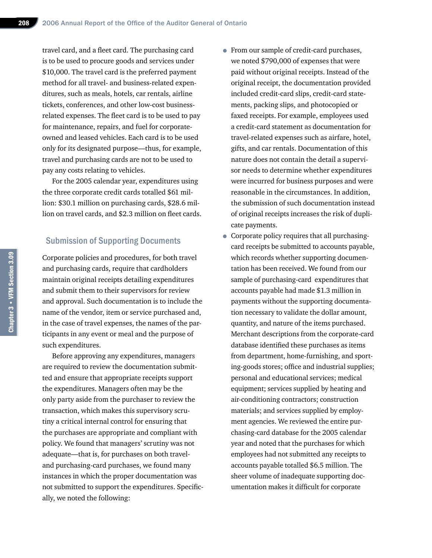travel card, and a fleet card. The purchasing card is to be used to procure goods and services under \$10,000. The travel card is the preferred payment method for all travel- and business-related expenditures, such as meals, hotels, car rentals, airline tickets, conferences, and other low-cost businessrelated expenses. The fleet card is to be used to pay for maintenance, repairs, and fuel for corporateowned and leased vehicles. Each card is to be used only for its designated purpose—thus, for example, travel and purchasing cards are not to be used to pay any costs relating to vehicles.

For the 2005 calendar year, expenditures using the three corporate credit cards totalled \$61 million: \$30.1 million on purchasing cards, \$28.6 million on travel cards, and \$2.3 million on fleet cards.

#### Submission of Supporting Documents

Corporate policies and procedures, for both travel and purchasing cards, require that cardholders maintain original receipts detailing expenditures and submit them to their supervisors for review and approval. Such documentation is to include the name of the vendor, item or service purchased and, in the case of travel expenses, the names of the participants in any event or meal and the purpose of such expenditures.

Before approving any expenditures, managers are required to review the documentation submitted and ensure that appropriate receipts support the expenditures. Managers often may be the only party aside from the purchaser to review the transaction, which makes this supervisory scrutiny a critical internal control for ensuring that the purchases are appropriate and compliant with policy. We found that managers' scrutiny was not adequate—that is, for purchases on both traveland purchasing-card purchases, we found many instances in which the proper documentation was not submitted to support the expenditures. Specifically, we noted the following:

- From our sample of credit-card purchases, we noted \$790,000 of expenses that were paid without original receipts. Instead of the original receipt, the documentation provided included credit-card slips, credit-card statements, packing slips, and photocopied or faxed receipts. For example, employees used a credit-card statement as documentation for travel-related expenses such as airfare, hotel, gifts, and car rentals. Documentation of this nature does not contain the detail a supervisor needs to determine whether expenditures were incurred for business purposes and were reasonable in the circumstances. In addition, the submission of such documentation instead of original receipts increases the risk of duplicate payments.
- Corporate policy requires that all purchasingcard receipts be submitted to accounts payable, which records whether supporting documentation has been received. We found from our sample of purchasing-card expenditures that accounts payable had made \$1.3 million in payments without the supporting documentation necessary to validate the dollar amount, quantity, and nature of the items purchased. Merchant descriptions from the corporate-card database identified these purchases as items from department, home-furnishing, and sporting-goods stores; office and industrial supplies; personal and educational services; medical equipment; services supplied by heating and air-conditioning contractors; construction materials; and services supplied by employment agencies. We reviewed the entire purchasing-card database for the 2005 calendar year and noted that the purchases for which employees had not submitted any receipts to accounts payable totalled \$6.5 million. The sheer volume of inadequate supporting documentation makes it difficult for corporate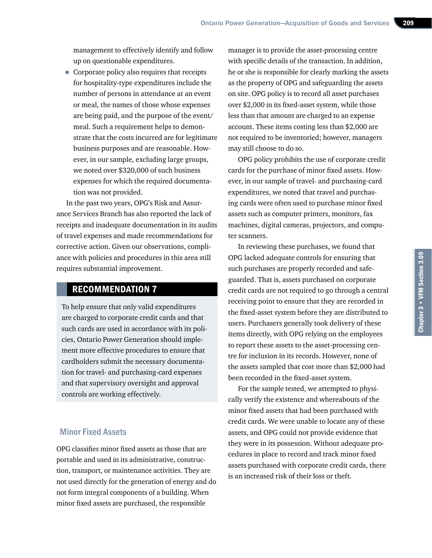management to effectively identify and follow up on questionable expenditures.

• Corporate policy also requires that receipts for hospitality-type expenditures include the number of persons in attendance at an event or meal, the names of those whose expenses are being paid, and the purpose of the event/ meal. Such a requirement helps to demonstrate that the costs incurred are for legitimate business purposes and are reasonable. However, in our sample, excluding large groups, we noted over \$320,000 of such business expenses for which the required documentation was not provided.

In the past two years, OPG's Risk and Assurance Services Branch has also reported the lack of receipts and inadequate documentation in its audits of travel expenses and made recommendations for corrective action. Given our observations, compliance with policies and procedures in this area still requires substantial improvement.

#### RECOMMENDATION 7

To help ensure that only valid expenditures are charged to corporate credit cards and that such cards are used in accordance with its policies, Ontario Power Generation should implement more effective procedures to ensure that cardholders submit the necessary documentation for travel- and purchasing-card expenses and that supervisory oversight and approval controls are working effectively.

#### Minor Fixed Assets

OPG classifies minor fixed assets as those that are portable and used in its administrative, construction, transport, or maintenance activities. They are not used directly for the generation of energy and do not form integral components of a building. When minor fixed assets are purchased, the responsible

manager is to provide the asset-processing centre with specific details of the transaction. In addition, he or she is responsible for clearly marking the assets as the property of OPG and safeguarding the assets on site. OPG policy is to record all asset purchases over \$2,000 in its fixed-asset system, while those less than that amount are charged to an expense account. These items costing less than \$2,000 are not required to be inventoried; however, managers may still choose to do so.

OPG policy prohibits the use of corporate credit cards for the purchase of minor fixed assets. However, in our sample of travel- and purchasing-card expenditures, we noted that travel and purchasing cards were often used to purchase minor fixed assets such as computer printers, monitors, fax machines, digital cameras, projectors, and computer scanners.

In reviewing these purchases, we found that OPG lacked adequate controls for ensuring that such purchases are properly recorded and safeguarded. That is, assets purchased on corporate credit cards are not required to go through a central receiving point to ensure that they are recorded in the fixed-asset system before they are distributed to users. Purchasers generally took delivery of these items directly, with OPG relying on the employees to report these assets to the asset-processing centre for inclusion in its records. However, none of the assets sampled that cost more than \$2,000 had been recorded in the fixed-asset system.

For the sample tested, we attempted to physically verify the existence and whereabouts of the minor fixed assets that had been purchased with credit cards. We were unable to locate any of these assets, and OPG could not provide evidence that they were in its possession. Without adequate procedures in place to record and track minor fixed assets purchased with corporate credit cards, there is an increased risk of their loss or theft.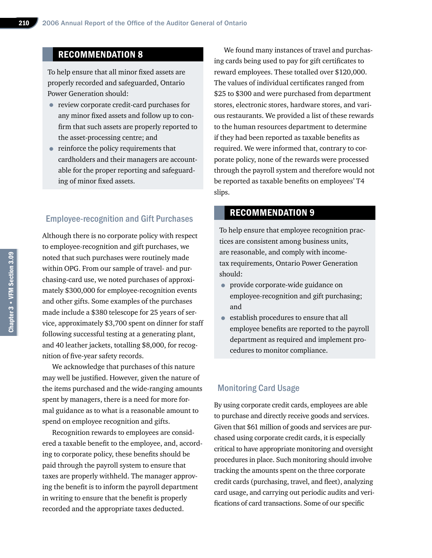#### RECOMMENDATION 8

To help ensure that all minor fixed assets are properly recorded and safeguarded, Ontario Power Generation should:

- review corporate credit-card purchases for any minor fixed assets and follow up to confirm that such assets are properly reported to the asset-processing centre; and
- reinforce the policy requirements that cardholders and their managers are accountable for the proper reporting and safeguarding of minor fixed assets.

#### Employee-recognition and Gift Purchases

Although there is no corporate policy with respect to employee-recognition and gift purchases, we noted that such purchases were routinely made within OPG. From our sample of travel- and purchasing-card use, we noted purchases of approximately \$300,000 for employee-recognition events and other gifts. Some examples of the purchases made include a \$380 telescope for 25 years of service, approximately \$3,700 spent on dinner for staff following successful testing at a generating plant, and 40 leather jackets, totalling \$8,000, for recognition of five-year safety records.

We acknowledge that purchases of this nature may well be justified. However, given the nature of the items purchased and the wide-ranging amounts spent by managers, there is a need for more formal guidance as to what is a reasonable amount to spend on employee recognition and gifts.

Recognition rewards to employees are considered a taxable benefit to the employee, and, according to corporate policy, these benefits should be paid through the payroll system to ensure that taxes are properly withheld. The manager approving the benefit is to inform the payroll department in writing to ensure that the benefit is properly recorded and the appropriate taxes deducted.

We found many instances of travel and purchasing cards being used to pay for gift certificates to reward employees. These totalled over \$120,000. The values of individual certificates ranged from \$25 to \$300 and were purchased from department stores, electronic stores, hardware stores, and various restaurants. We provided a list of these rewards to the human resources department to determine if they had been reported as taxable benefits as required. We were informed that, contrary to corporate policy, none of the rewards were processed through the payroll system and therefore would not be reported as taxable benefits on employees' T4 slips.

#### RECOMMENDATION 9

To help ensure that employee recognition practices are consistent among business units, are reasonable, and comply with incometax requirements, Ontario Power Generation should:

- provide corporate-wide guidance on employee-recognition and gift purchasing; and
- establish procedures to ensure that all employee benefits are reported to the payroll department as required and implement procedures to monitor compliance.

#### Monitoring Card Usage

By using corporate credit cards, employees are able to purchase and directly receive goods and services. Given that \$61 million of goods and services are purchased using corporate credit cards, it is especially critical to have appropriate monitoring and oversight procedures in place. Such monitoring should involve tracking the amounts spent on the three corporate credit cards (purchasing, travel, and fleet), analyzing card usage, and carrying out periodic audits and verifications of card transactions. Some of our specific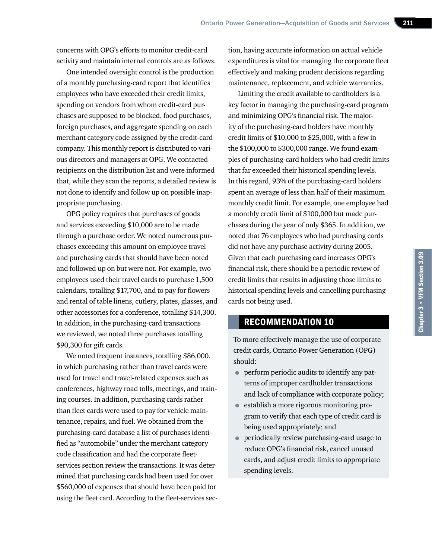concerns with OPG's efforts to monitor credit-card activity and maintain internal controls are as follows.

One intended oversight control is the production of a monthly purchasing-card report that identifies employees who have exceeded their credit limits, spending on vendors from whom credit-card purchases are supposed to be blocked, food purchases, foreign purchases, and aggregate spending on each merchant category code assigned by the credit-card company. This monthly report is distributed to various directors and managers at OPG. We contacted recipients on the distribution list and were informed that, while they scan the reports, a detailed review is not done to identify and follow up on possible inappropriate purchasing.

OPG policy requires that purchases of goods and services exceeding \$10,000 are to be made through a purchase order. We noted numerous purchases exceeding this amount on employee travel and purchasing cards that should have been noted and followed up on but were not. For example, two employees used their travel cards to purchase 1,500 calendars, totalling \$17,700, and to pay for flowers and rental of table linens, cutlery, plates, glasses, and other accessories for a conference, totalling \$14,300. In addition, in the purchasing-card transactions we reviewed, we noted three purchases totalling \$90,300 for gift cards.

We noted frequent instances, totalling \$86,000, in which purchasing rather than travel cards were used for travel and travel-related expenses such as conferences, highway road tolls, meetings, and training courses. In addition, purchasing cards rather than fleet cards were used to pay for vehicle maintenance, repairs, and fuel. We obtained from the purchasing-card database a list of purchases identified as "automobile" under the merchant category code classification and had the corporate fleetservices section review the transactions. It was determined that purchasing cards had been used for over \$560,000 of expenses that should have been paid for using the fleet card. According to the fleet-services sec-

tion, having accurate information on actual vehicle expenditures is vital for managing the corporate fleet effectively and making prudent decisions regarding maintenance, replacement, and vehicle warranties.

Limiting the credit available to cardholders is a key factor in managing the purchasing-card program and minimizing OPG's financial risk. The majority of the purchasing-card holders have monthly credit limits of \$10,000 to \$25,000, with a few in the \$100,000 to \$300,000 range. We found examples of purchasing-card holders who had credit limits that far exceeded their historical spending levels. In this regard, 93% of the purchasing-card holders spent an average of less than half of their maximum monthly credit limit. For example, one employee had a monthly credit limit of \$100,000 but made purchases during the year of only \$365. In addition, we noted that 76 employees who had purchasing cards did not have any purchase activity during 2005. Given that each purchasing card increases OPG's financial risk, there should be a periodic review of credit limits that results in adjusting those limits to historical spending levels and cancelling purchasing cards not being used.

#### RECOMMENDATION 10

To more effectively manage the use of corporate credit cards, Ontario Power Generation (OPG) should:

- perform periodic audits to identify any patterns of improper cardholder transactions and lack of compliance with corporate policy;
- establish a more rigorous monitoring program to verify that each type of credit card is being used appropriately; and
- periodically review purchasing-card usage to reduce OPG's financial risk, cancel unused cards, and adjust credit limits to appropriate spending levels.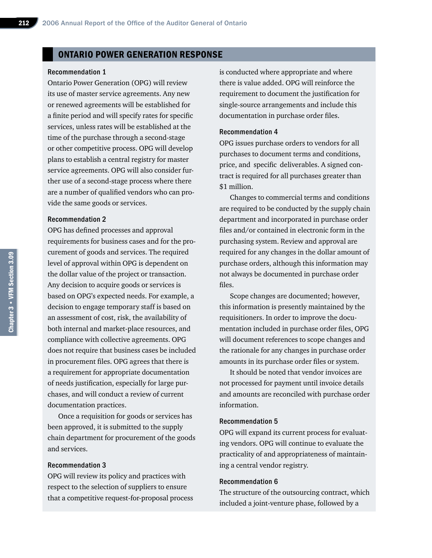#### ONTARIO POWER GENERATION RESPONSE

#### Recommendation 1

Ontario Power Generation (OPG) will review its use of master service agreements. Any new or renewed agreements will be established for a finite period and will specify rates for specific services, unless rates will be established at the time of the purchase through a second-stage or other competitive process. OPG will develop plans to establish a central registry for master service agreements. OPG will also consider further use of a second-stage process where there are a number of qualified vendors who can provide the same goods or services.

#### Recommendation 2

OPG has defined processes and approval requirements for business cases and for the procurement of goods and services. The required level of approval within OPG is dependent on the dollar value of the project or transaction. Any decision to acquire goods or services is based on OPG's expected needs. For example, a decision to engage temporary staff is based on an assessment of cost, risk, the availability of both internal and market-place resources, and compliance with collective agreements. OPG does not require that business cases be included in procurement files. OPG agrees that there is a requirement for appropriate documentation of needs justification, especially for large purchases, and will conduct a review of current documentation practices.

Once a requisition for goods or services has been approved, it is submitted to the supply chain department for procurement of the goods and services.

#### Recommendation 3

OPG will review its policy and practices with respect to the selection of suppliers to ensure that a competitive request-for-proposal process

is conducted where appropriate and where there is value added. OPG will reinforce the requirement to document the justification for single-source arrangements and include this documentation in purchase order files.

#### Recommendation 4

OPG issues purchase orders to vendors for all purchases to document terms and conditions, price, and specific deliverables. A signed contract is required for all purchases greater than \$1 million.

Changes to commercial terms and conditions are required to be conducted by the supply chain department and incorporated in purchase order files and/or contained in electronic form in the purchasing system. Review and approval are required for any changes in the dollar amount of purchase orders, although this information may not always be documented in purchase order files.

Scope changes are documented; however, this information is presently maintained by the requisitioners. In order to improve the documentation included in purchase order files, OPG will document references to scope changes and the rationale for any changes in purchase order amounts in its purchase order files or system.

It should be noted that vendor invoices are not processed for payment until invoice details and amounts are reconciled with purchase order information.

#### Recommendation 5

OPG will expand its current process for evaluating vendors. OPG will continue to evaluate the practicality of and appropriateness of maintaining a central vendor registry.

#### Recommendation 6

The structure of the outsourcing contract, which included a joint-venture phase, followed by a